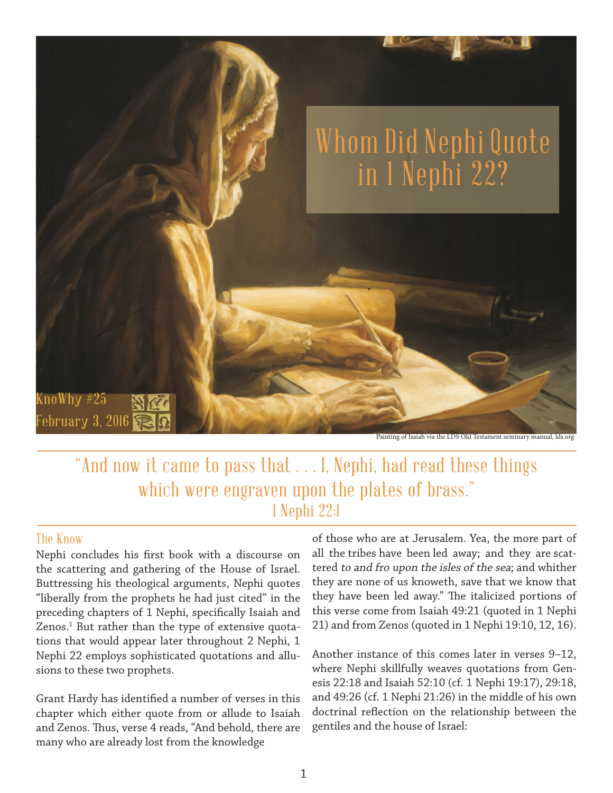

"And now it came to pass that . . . I, Nephi, had read these things which were engraven upon the plates of brass." 1 Nephi 22:1

## The Know

Nephi concludes his first book with a discourse on the scattering and gathering of the House of Israel. Buttressing his theological arguments, Nephi quotes "liberally from the prophets he had just cited" in the preceding chapters of 1 Nephi, specifically Isaiah and Zenos.<sup>1</sup> But rather than the type of extensive quotations that would appear later throughout 2 Nephi, 1 Nephi 22 employs sophisticated quotations and allusions to these two prophets.

Grant Hardy has identified a number of verses in this chapter which either quote from or allude to Isaiah and Zenos. Thus, verse 4 reads, "And behold, there are many who are already lost from the knowledge

of those who are at Jerusalem. Yea, the more part of all the tribes have been led away; and they are scattered to and fro upon the isles of the sea; and whither they are none of us knoweth, save that we know that they have been led away." The italicized portions of this verse come from Isaiah 49:21 (quoted in 1 Nephi 21) and from Zenos (quoted in 1 Nephi 19:10, 12, 16).

Another instance of this comes later in verses 9–12, where Nephi skillfully weaves quotations from Genesis 22:18 and Isaiah 52:10 (cf. 1 Nephi 19:17), 29:18, and 49:26 (cf. 1 Nephi 21:26) in the middle of his own doctrinal reflection on the relationship between the gentiles and the house of Israel: